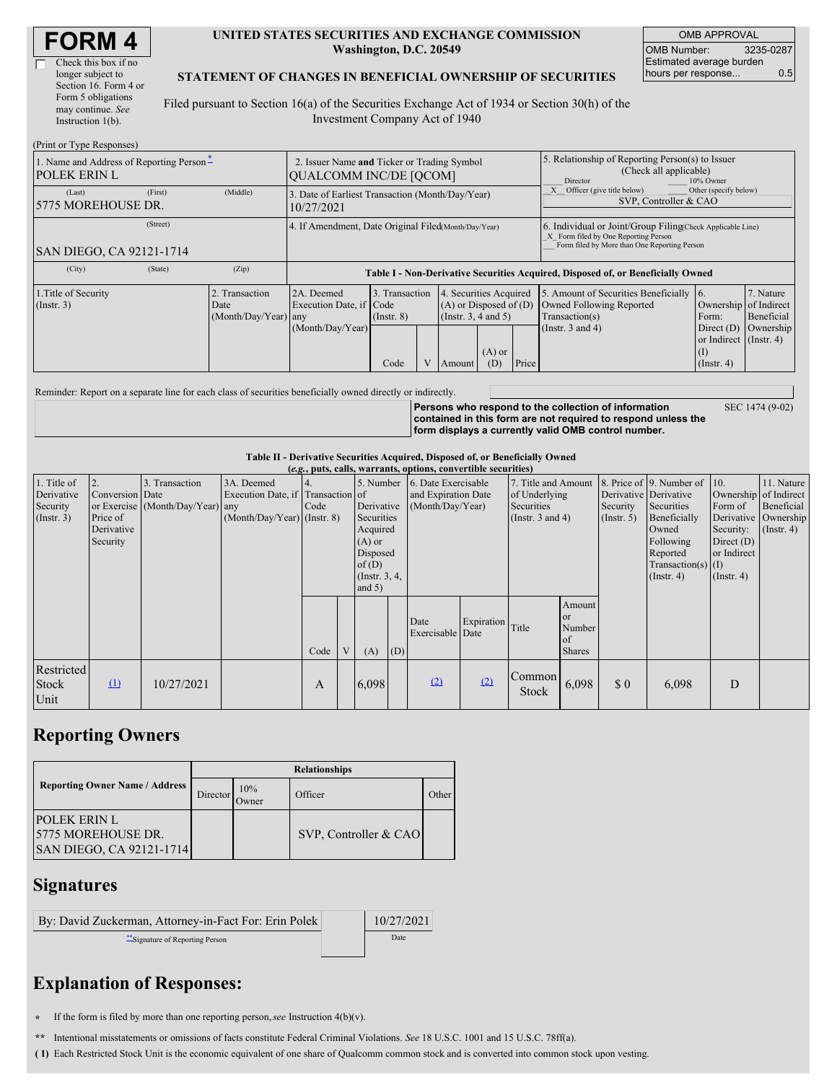| <b>FORM 4</b> |
|---------------|
|---------------|

| Check this box if no  |
|-----------------------|
| longer subject to     |
| Section 16. Form 4 or |
| Form 5 obligations    |
| may continue. See     |
| Instruction $1(b)$ .  |
|                       |

#### **UNITED STATES SECURITIES AND EXCHANGE COMMISSION Washington, D.C. 20549**

OMB APPROVAL OMB Number: 3235-0287 Estimated average burden hours per response... 0.5

#### **STATEMENT OF CHANGES IN BENEFICIAL OWNERSHIP OF SECURITIES**

Filed pursuant to Section 16(a) of the Securities Exchange Act of 1934 or Section 30(h) of the Investment Company Act of 1940

| (Print or Type Responses)                                       |                                                                              |                                                                                  |                                           |  |                                                                  |                                        |                                                                                                                                                    |                                                                                                             |                                                                                                            |                                      |
|-----------------------------------------------------------------|------------------------------------------------------------------------------|----------------------------------------------------------------------------------|-------------------------------------------|--|------------------------------------------------------------------|----------------------------------------|----------------------------------------------------------------------------------------------------------------------------------------------------|-------------------------------------------------------------------------------------------------------------|------------------------------------------------------------------------------------------------------------|--------------------------------------|
| 1. Name and Address of Reporting Person-<br><b>POLEK ERIN L</b> | 2. Issuer Name and Ticker or Trading Symbol<br><b>OUALCOMM INC/DE [OCOM]</b> |                                                                                  |                                           |  |                                                                  |                                        | 5. Relationship of Reporting Person(s) to Issuer<br>(Check all applicable)<br>10% Owner<br>Director                                                |                                                                                                             |                                                                                                            |                                      |
| (First)<br>(Last)<br>5775 MOREHOUSE DR.                         | (Middle)                                                                     | 3. Date of Earliest Transaction (Month/Day/Year)<br>10/27/2021                   |                                           |  |                                                                  |                                        | Other (specify below)<br>Officer (give title below)<br>SVP, Controller & CAO                                                                       |                                                                                                             |                                                                                                            |                                      |
| (Street)<br>SAN DIEGO, CA 92121-1714                            |                                                                              | 4. If Amendment, Date Original Filed(Month/Day/Year)                             |                                           |  |                                                                  |                                        | 6. Individual or Joint/Group Filing(Check Applicable Line)<br>X Form filed by One Reporting Person<br>Form filed by More than One Reporting Person |                                                                                                             |                                                                                                            |                                      |
| (City)<br>(State)                                               | (Zip)                                                                        | Table I - Non-Derivative Securities Acquired, Disposed of, or Beneficially Owned |                                           |  |                                                                  |                                        |                                                                                                                                                    |                                                                                                             |                                                                                                            |                                      |
| 1. Title of Security<br>(Insert. 3)                             | 2. Transaction<br>Date<br>(Month/Day/Year) any                               | 2A. Deemed<br>Execution Date, if Code<br>(Month/Day/Year)                        | 3. Transaction<br>$($ Instr. $8)$<br>Code |  | $(A)$ or Disposed of $(D)$<br>(Instr. $3, 4$ and $5$ )<br>Amount | Securities Acquired<br>$(A)$ or<br>(D) | Price                                                                                                                                              | 5. Amount of Securities Beneficially<br>Owned Following Reported<br>Transaction(s)<br>(Instr. $3$ and $4$ ) | 16.<br>Ownership of Indirect<br>Form:<br>Direct $(D)$<br>or Indirect (Instr. 4)<br>(I)<br>$($ Instr. 4 $)$ | 7. Nature<br>Beneficial<br>Ownership |

Reminder: Report on a separate line for each class of securities beneficially owned directly or indirectly.

**Persons who respond to the collection of information contained in this form are not required to respond unless the form displays a currently valid OMB control number.** SEC 1474 (9-02)

**Table II - Derivative Securities Acquired, Disposed of, or Beneficially Owned**

| (e.g., puts, calls, warrants, options, convertible securities) |                                                             |                                                    |                                                                                  |      |                                                                                                                      |       |                                                                |                          |                                                                             |                 |                                                       |                                                                                                                                                       |                                                                                             |                                                                   |  |
|----------------------------------------------------------------|-------------------------------------------------------------|----------------------------------------------------|----------------------------------------------------------------------------------|------|----------------------------------------------------------------------------------------------------------------------|-------|----------------------------------------------------------------|--------------------------|-----------------------------------------------------------------------------|-----------------|-------------------------------------------------------|-------------------------------------------------------------------------------------------------------------------------------------------------------|---------------------------------------------------------------------------------------------|-------------------------------------------------------------------|--|
| 1. Title of<br>Derivative<br>Security<br>$($ Instr. 3 $)$      | 2.<br>Conversion Date<br>Price of<br>Derivative<br>Security | 3. Transaction<br>or Exercise (Month/Day/Year) any | 3A. Deemed<br>Execution Date, if Transaction of<br>$(Month/Day/Year)$ (Instr. 8) | Code | 5. Number<br>Derivative<br>Securities<br>Acquired<br>$(A)$ or<br>Disposed<br>of $(D)$<br>(Instr. $3, 4,$<br>and $5)$ |       | 6. Date Exercisable<br>and Expiration Date<br>(Month/Day/Year) |                          | 7. Title and Amount<br>of Underlying<br>Securities<br>(Instr. $3$ and $4$ ) |                 | Derivative Derivative<br>Security<br>$($ Instr. 5 $)$ | 8. Price of $\vert$ 9. Number of $\vert$ 10.<br>Securities<br>Beneficially<br>Owned<br>Following<br>Reported<br>Transaction(s) $(I)$<br>$($ Instr. 4) | Ownership of Indirect<br>Form of<br>Security:<br>Direct $(D)$<br>or Indirect<br>(Insert. 4) | 11. Nature<br>Beneficial<br>Derivative Ownership<br>$($ Instr. 4) |  |
|                                                                |                                                             |                                                    |                                                                                  | Code | V                                                                                                                    | (A)   | (D)                                                            | Date<br>Exercisable Date | Expiration Title                                                            |                 | Amount<br>or<br>Number<br>of<br><b>Shares</b>         |                                                                                                                                                       |                                                                                             |                                                                   |  |
| Restricted<br><b>Stock</b><br>Unit                             | $\mathbf{r}$                                                | 10/27/2021                                         |                                                                                  | A    |                                                                                                                      | 6,098 |                                                                | (2)                      | (2)                                                                         | Common<br>Stock | 6,098                                                 | \$0                                                                                                                                                   | 6,098                                                                                       | D                                                                 |  |

## **Reporting Owners**

|                                                                              | <b>Relationships</b> |              |                       |       |  |  |  |  |  |  |
|------------------------------------------------------------------------------|----------------------|--------------|-----------------------|-------|--|--|--|--|--|--|
| <b>Reporting Owner Name / Address</b>                                        | Director             | 10%<br>Owner | Officer               | Other |  |  |  |  |  |  |
| <b>POLEK ERIN L</b><br><b>5775 MOREHOUSE DR.</b><br>SAN DIEGO, CA 92121-1714 |                      |              | SVP, Controller & CAO |       |  |  |  |  |  |  |

### **Signatures**

| By: David Zuckerman, Attorney-in-Fact For: Erin Polek | 10/27/2021 |  |  |
|-------------------------------------------------------|------------|--|--|
| Signature of Reporting Person                         | Date       |  |  |

# **Explanation of Responses:**

**\*** If the form is filed by more than one reporting person,*see* Instruction 4(b)(v).

**\*\*** Intentional misstatements or omissions of facts constitute Federal Criminal Violations. *See* 18 U.S.C. 1001 and 15 U.S.C. 78ff(a).

**( 1)** Each Restricted Stock Unit is the economic equivalent of one share of Qualcomm common stock and is converted into common stock upon vesting.